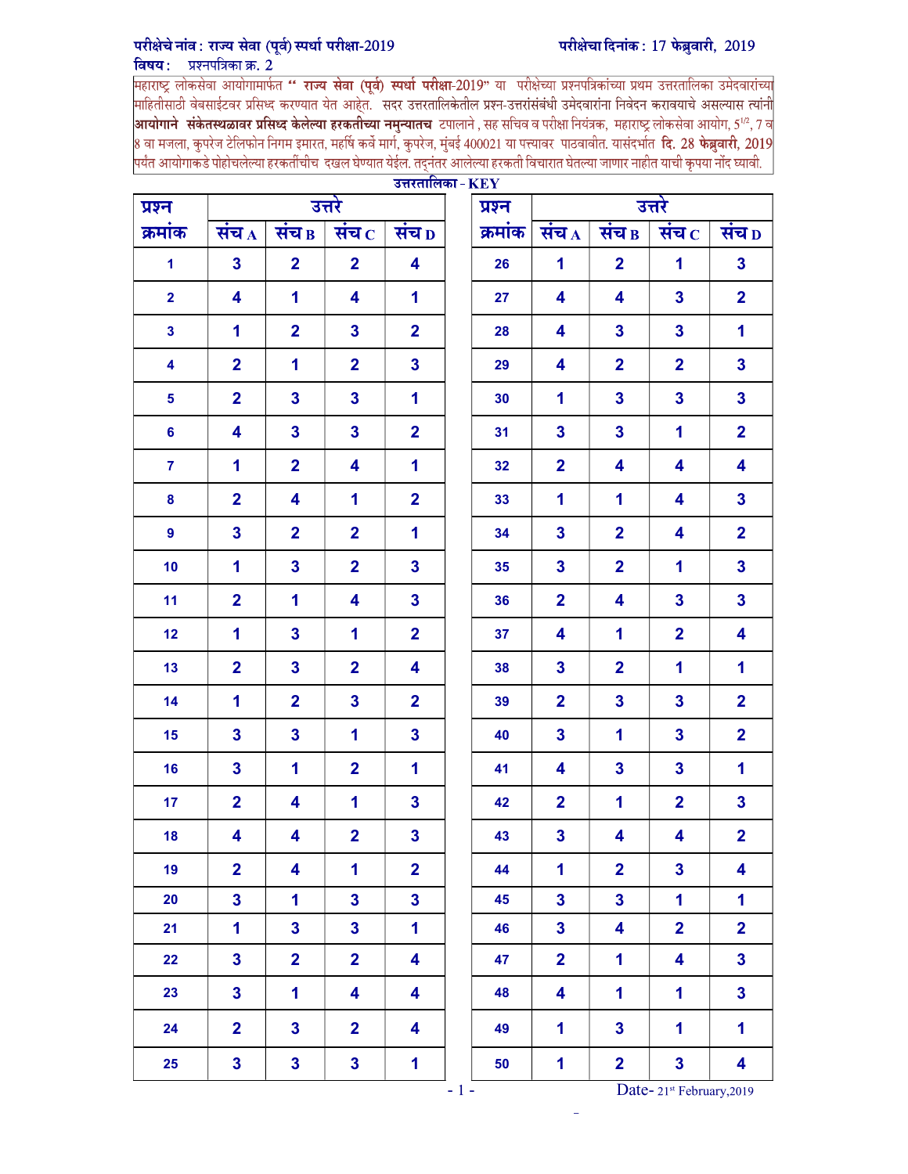## परीक्षेचा दिनांक: 17 फेब्रुवारी, 2019

## परीक्षेचे नांव: राज्य सेवा (पूर्व) स्पर्धा परीक्षा-2019

<mark>विषय : प्रश्नपत्रिका क्र. 2</mark><br>महाराष्ट्र लोकसेवा आयोगामार्फत **'' राज्य सेवा (पूर्व) स्पर्धा परीक्षा-**2019" या परीक्षेच्या प्रश्नपत्रिकांच्या प्रथम उत्तरतालिका उमेदवारांच्या<br>माहितीसाठी वेबसाईटवर प्रसिध्द करण्यात य <mark>आयोगाने संकेतस्थळावर प्रसिध्द केलेल्या हरकतीच्या नमुन्यातच टपालाने , सह सचिव व परीक्षा नियंत्रक, महाराष्ट्र लोकसेवा आयोग, 5½, 7 व</mark> 8 वा मजला, कुपरेज टेलिफोन निगम इमारत, महर्षि कर्वे मार्ग, कुपरेज, मुंबई 400021 या पत्त्यावर पाठवावीत. यासंदर्भात **दि. 28 फेब्रुवारी, 2019** पर्यंत आयोगाकडे पोहोचलेल्या हरकतींचीच दखल घेण्यात येईल. तदनंतर आलेल्या हरकती विचारात घेतल्या जाणार नाहीत याची कृपया नोंद घ्यावी.

| प्रश्न                  |                         |                         | उत्तरे                  | $\sigma$                | प्रश्न  | उत्तरे                  |                         |                         |                         |  |  |
|-------------------------|-------------------------|-------------------------|-------------------------|-------------------------|---------|-------------------------|-------------------------|-------------------------|-------------------------|--|--|
| क्रमांक                 | संच $_A$                | संच $_{\rm B}$          | संच $\, {\rm c}$        | संच <sub>D</sub>        | क्रमांक | संच $_A$                | संच $_{\rm B}$          | संच $\, {\rm c}$        | संच D                   |  |  |
| $\blacktriangleleft$    | $\overline{\mathbf{3}}$ | $\overline{2}$          | $\overline{\mathbf{2}}$ | $\overline{\mathbf{4}}$ | 26      | $\mathbf 1$             | $\overline{2}$          | 1                       | $\overline{\mathbf{3}}$ |  |  |
| $\overline{2}$          | 4                       | $\mathbf{1}$            | 4                       | $\mathbf{1}$            | 27      | 4                       | $\overline{\mathbf{4}}$ | $\mathbf{3}$            | $\overline{2}$          |  |  |
| $\mathbf{3}$            | 1                       | $\overline{2}$          | $\mathbf{3}$            | $\overline{2}$          | 28      | 4                       | $\overline{\mathbf{3}}$ | $\mathbf{3}$            | $\mathbf 1$             |  |  |
| $\overline{\mathbf{4}}$ | $\overline{2}$          | $\mathbf{1}$            | $\overline{2}$          | $\overline{\mathbf{3}}$ | 29      | 4                       | $\overline{2}$          | $\overline{2}$          | $\overline{\mathbf{3}}$ |  |  |
| $\overline{\mathbf{5}}$ | $\overline{2}$          | $\overline{\mathbf{3}}$ | $\mathbf{3}$            | $\mathbf{1}$            | 30      | 1                       | $\overline{\mathbf{3}}$ | $\mathbf{3}$            | $\overline{\mathbf{3}}$ |  |  |
| $6\phantom{a}$          | 4                       | $\overline{\mathbf{3}}$ | $\mathbf{3}$            | $\overline{2}$          | 31      | $\overline{\mathbf{3}}$ | $\overline{\mathbf{3}}$ | 1                       | $\overline{2}$          |  |  |
| $\overline{7}$          | 1                       | $\overline{2}$          | 4                       | $\blacksquare$          | 32      | $\overline{2}$          | 4                       | $\overline{\mathbf{4}}$ | 4                       |  |  |
| $\bf{8}$                | $\overline{2}$          | 4                       | 1                       | $\overline{2}$          | 33      | $\mathbf{1}$            | $\mathbf{1}$            | 4                       | $\overline{\mathbf{3}}$ |  |  |
| $\boldsymbol{9}$        | $\mathbf{3}$            | $\overline{2}$          | $\overline{\mathbf{2}}$ | $\mathbf{1}$            | 34      | $\mathbf{3}$            | $\overline{2}$          | 4                       | $\overline{\mathbf{2}}$ |  |  |
| 10                      | 1                       | $\overline{\mathbf{3}}$ | $\overline{\mathbf{2}}$ | $\overline{\mathbf{3}}$ | 35      | $\mathbf{3}$            | $\overline{2}$          | 1                       | $\overline{\mathbf{3}}$ |  |  |
| 11                      | $\overline{2}$          | 1                       | 4                       | $\overline{\mathbf{3}}$ | 36      | $\overline{2}$          | 4                       | $\mathbf{3}$            | $\overline{\mathbf{3}}$ |  |  |
| 12                      | 1                       | $\overline{\mathbf{3}}$ | 1                       | $\overline{2}$          | 37      | 4                       | $\mathbf 1$             | $\overline{\mathbf{2}}$ | 4                       |  |  |
| 13                      | $\overline{\mathbf{2}}$ | $\overline{\mathbf{3}}$ | $\overline{\mathbf{2}}$ | 4                       | 38      | $\mathbf{3}$            | $\overline{2}$          | 1                       | $\mathbf{1}$            |  |  |
| 14                      | 1                       | $\overline{2}$          | $\mathbf{3}$            | $\overline{2}$          | 39      | $\overline{2}$          | $\overline{\mathbf{3}}$ | $\mathbf{3}$            | $\overline{2}$          |  |  |
| 15                      | $\mathbf{3}$            | $\overline{\mathbf{3}}$ | 1                       | $\overline{\mathbf{3}}$ | 40      | $\overline{\mathbf{3}}$ | $\mathbf{1}$            | $\mathbf{3}$            | $\overline{\mathbf{2}}$ |  |  |
| 16                      | $\overline{\mathbf{3}}$ | 1                       | $\overline{2}$          | $\blacksquare$          | 41      | 4                       | 3                       | $\overline{\mathbf{3}}$ | $\mathbf 1$             |  |  |
| 17                      | $\overline{\mathbf{2}}$ | 4                       | 1                       | $\overline{\mathbf{3}}$ | 42      | $\mathbf 2$             | $\mathbf 1$             | $\overline{\mathbf{2}}$ | $\overline{\mathbf{3}}$ |  |  |
| 18                      | 4                       | 4                       | $\overline{\mathbf{2}}$ | 3                       | 43      | $\mathbf{3}$            | 4                       | 4                       | $\overline{2}$          |  |  |
| 19                      | $\overline{2}$          | $\overline{\mathbf{4}}$ | 1                       | $\overline{2}$          | 44      | $\mathbf 1$             | $\overline{2}$          | $\mathbf{3}$            | 4                       |  |  |
| 20                      | $\overline{\mathbf{3}}$ | $\mathbf 1$             | $\overline{\mathbf{3}}$ | $\overline{\mathbf{3}}$ | 45      | $\overline{\mathbf{3}}$ | $\overline{\mathbf{3}}$ | $\mathbf{1}$            | $\mathbf 1$             |  |  |
| 21                      | $\mathbf{1}$            | $\overline{\mathbf{3}}$ | $\overline{\mathbf{3}}$ | $\overline{\mathbf{1}}$ | 46      | $\overline{\mathbf{3}}$ | $\overline{\mathbf{4}}$ | $\overline{\mathbf{2}}$ | $\overline{2}$          |  |  |
| 22                      | $\overline{\mathbf{3}}$ | $\overline{2}$          | $\overline{\mathbf{2}}$ | $\overline{\mathbf{4}}$ | 47      | $\overline{2}$          | $\mathbf{1}$            | 4                       | $\overline{\mathbf{3}}$ |  |  |
| 23                      | $\overline{\mathbf{3}}$ | $\mathbf{1}$            | $\overline{\mathbf{4}}$ | $\overline{\mathbf{4}}$ | 48      | $\overline{\mathbf{4}}$ | $\overline{\mathbf{1}}$ | $\mathbf 1$             | $\overline{\mathbf{3}}$ |  |  |
| 24                      | $\overline{\mathbf{2}}$ | $\mathbf{3}$            | $\overline{2}$          | $\overline{\mathbf{4}}$ | 49      | $\mathbf{1}$            | $\overline{\mathbf{3}}$ | 1                       | $\mathbf{1}$            |  |  |
| 25                      | $\overline{\mathbf{3}}$ | $\mathbf{3}$            | $\mathbf{3}$            | $\mathbf{1}$            | 50      | $\mathbf{1}$            | $\overline{2}$          | $\mathbf{3}$            | 4                       |  |  |

- 1 - Date- 21<sup>st</sup> February, 2019

–